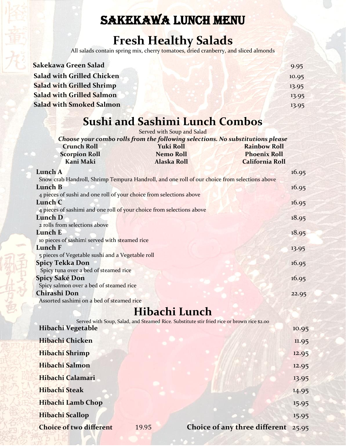# SAKEKAWA LUNCH MENU

## **Fresh Healthy Salads**

All salads contain spring mix, cherr<mark>y tomatoes, dried cranberry, and sliced almonds</mark>

| Sakekawa Green Salad              | 9.95  |
|-----------------------------------|-------|
| <b>Salad with Grilled Chicken</b> | 10.95 |
| <b>Salad with Grilled Shrimp</b>  | 13.95 |
| <b>Salad with Grilled Salmon</b>  | 13.95 |
| <b>Salad with Smoked Salmon</b>   | 13.95 |
|                                   |       |

# **Sushi and Sashimi Lunch Combos**

|                                                                                               | Served with Soup and Salad |                        |
|-----------------------------------------------------------------------------------------------|----------------------------|------------------------|
| Choose your combo rolls from the following selections. No substitutions please                |                            |                        |
| <b>Crunch Roll</b>                                                                            | <b>Yuki Roll</b>           | <b>Rainbow Roll</b>    |
| <b>Scorpion Roll</b>                                                                          | <b>Nemo Roll</b>           | <b>Phoenix Roll</b>    |
| Kani Maki                                                                                     | <b>Alaska Roll</b>         | <b>California Roll</b> |
| Lunch A                                                                                       |                            | 16.95                  |
| Snow crab Handroll, Shrimp Tempura Handroll, and one roll of our choice from selections above |                            |                        |
| Lunch B                                                                                       |                            | 16.95                  |
| 4 pieces of sushi and one roll of your choice from selections above                           |                            |                        |
| Lunch C                                                                                       |                            | 16.95                  |
| 4 pieces of sashimi and one roll of your choice from selections above                         |                            |                        |
| Lunch D                                                                                       |                            | 18.95                  |
| 2 rolls from selections above                                                                 |                            |                        |
| Lunch E                                                                                       |                            | 18.95                  |
| to pieces of sashimi served with steamed rice                                                 |                            |                        |
| Lunch F                                                                                       |                            | 13.95                  |
| 5 pieces of Vegetable sushi and a Vegetable roll                                              |                            |                        |
| <b>Spicy Tekka Don</b>                                                                        |                            | 16.95                  |
| Spicy tuna over a bed of steamed rice                                                         |                            |                        |
| <b>Spicy Saké Don</b>                                                                         |                            | 16.95                  |
| Spicy salmon over a bed of steamed rice                                                       |                            |                        |
| Chirashi Don                                                                                  |                            | 22.95                  |
| Assorted sashimi on a bed of steamed rice                                                     |                            |                        |

# **Hibachi Lunch**

| Served with Soup, Salad, and Steamed Rice. Substitute stir fried rice or brown rice \$2.00 |                               |       |
|--------------------------------------------------------------------------------------------|-------------------------------|-------|
| Hibachi Vegetable                                                                          |                               | 10.95 |
| Hibachi Chicken                                                                            |                               | 11.95 |
| Hibachi Shrimp                                                                             |                               | 12.95 |
| Hibachi Salmon                                                                             |                               | 12.95 |
| Hibachi Calamari                                                                           |                               | 13.95 |
| Hibachi Steak                                                                              |                               | 14.95 |
| Hibachi Lamb Chop                                                                          |                               | 15.95 |
| <b>Hibachi Scallop</b>                                                                     |                               | 15.95 |
| <b>Choice of two different</b><br>19.95                                                    | Choice of any three different | 25.95 |